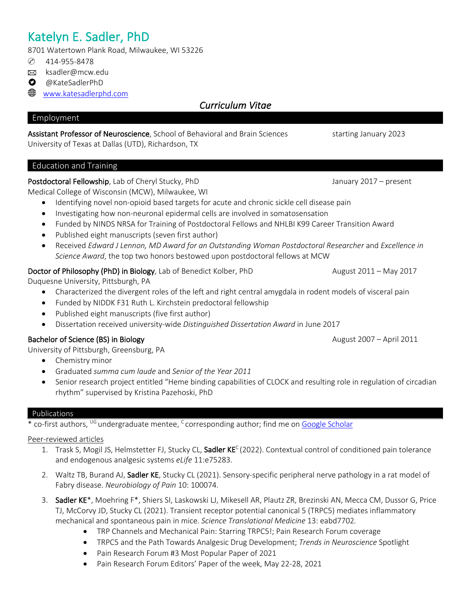# Katelyn E. Sadler, PhD<br>8701 Watertown Plank Road, Milwaukee, WI 53226

- ✆ 414-955-8478
- **E** ksadler@mcw.edu
- **O** @KateSadlerPhD
- www.katesadlerphd.com

# *Curriculum Vitae*

### Employment

### Assistant Professor of Neuroscience, School of Behavioral and Brain Sciences starting January 2023

University of Texas at Dallas (UTD), Richardson, TX

# Education and Training

### Postdoctoral Fellowship, Lab of Cheryl Stucky, PhD January 2017 – present

Medical College of Wisconsin (MCW), Milwaukee, WI

- Identifying novel non-opioid based targets for acute and chronic sickle cell disease pain
- Investigating how non-neuronal epidermal cells are involved in somatosensation
- Funded by NINDS NRSA for Training of Postdoctoral Fellows and NHLBI K99 Career Transition Award
- Published eight manuscripts (seven first author)
- Received *Edward J Lennon, MD Award for an Outstanding Woman Postdoctoral Researcher* and *Excellence in Science Award*, the top two honors bestowed upon postdoctoral fellows at MCW

### Doctor of Philosophy (PhD) in Biology, Lab of Benedict Kolber, PhD August 2011 – May 2017

Duquesne University, Pittsburgh, PA

- Characterized the divergent roles of the left and right central amygdala in rodent models of visceral pain
- Funded by NIDDK F31 Ruth L. Kirchstein predoctoral fellowship
- Published eight manuscripts (five first author)
- Dissertation received university-wide *Distinguished Dissertation Award* in June 2017

### Bachelor of Science (BS) in Biology **August 2007** – April 2011

University of Pittsburgh, Greensburg, PA

- Chemistry minor
- Graduated *summa cum laude* and *Senior of the Year 2011*
- Senior research project entitled "Heme binding capabilities of CLOCK and resulting role in regulation of circadian rhythm" supervised by Kristina Pazehoski, PhD

### Publications

\* co-first authors, <sup>UG</sup> undergraduate mentee, <sup>C</sup> corresponding author; find me on Google Scholar

### Peer-reviewed articles

- 1. Trask S, Mogil JS, Helmstetter FJ, Stucky CL, Sadler KE<sup>C</sup> (2022). Contextual control of conditioned pain tolerance and endogenous analgesic systems *eLife* 11:e75283.
- 2. Waltz TB, Burand AJ, Sadler KE, Stucky CL (2021). Sensory-specific peripheral nerve pathology in a rat model of Fabry disease. *Neurobiology of Pain* 10: 100074.
- 3. Sadler KE\*, Moehring F\*, Shiers SI, Laskowski LJ, Mikesell AR, Plautz ZR, Brezinski AN, Mecca CM, Dussor G, Price TJ, McCorvy JD, Stucky CL (2021). Transient receptor potential canonical 5 (TRPC5) mediates inflammatory mechanical and spontaneous pain in mice. *Science Translational Medicine* 13: eabd7702*.*
	- TRP Channels and Mechanical Pain: Starring TRPC5!; Pain Research Forum coverage
	- TRPC5 and the Path Towards Analgesic Drug Development; *Trends in Neuroscience* Spotlight
	- Pain Research Forum #3 Most Popular Paper of 2021
	- Pain Research Forum Editors' Paper of the week, May 22-28, 2021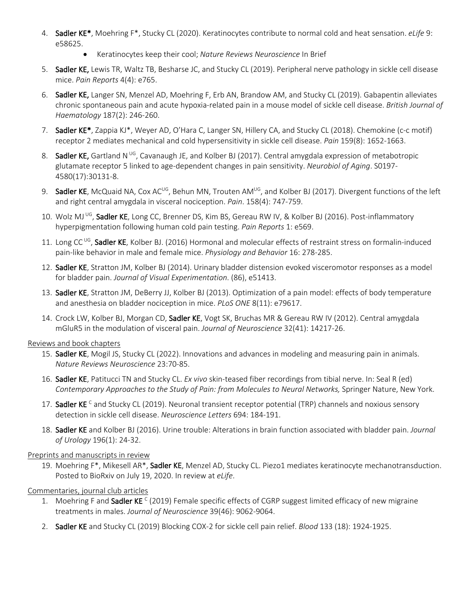- 4. Sadler KE\*, Moehring F\*, Stucky CL (2020). Keratinocytes contribute to normal cold and heat sensation. *eLife* 9: e58625.
	- Keratinocytes keep their cool; *Nature Reviews Neuroscience* In Brief
- 5. Sadler KE, Lewis TR, Waltz TB, Besharse JC, and Stucky CL (2019). Peripheral nerve pathology in sickle cell disease mice. *Pain Reports* 4(4): e765.
- 6. Sadler KE, Langer SN, Menzel AD, Moehring F, Erb AN, Brandow AM, and Stucky CL (2019). Gabapentin alleviates chronic spontaneous pain and acute hypoxia-related pain in a mouse model of sickle cell disease. *British Journal of Haematology* 187(2): 246-260.
- 7. Sadler KE<sup>\*</sup>, Zappia KJ<sup>\*</sup>, Weyer AD, O'Hara C, Langer SN, Hillery CA, and Stucky CL (2018). Chemokine (c-c motif) receptor 2 mediates mechanical and cold hypersensitivity in sickle cell disease. *Pain* 159(8): 1652-1663.
- 8. Sadler KE, Gartland N<sup>UG</sup>, Cavanaugh JE, and Kolber BJ (2017). Central amygdala expression of metabotropic glutamate receptor 5 linked to age-dependent changes in pain sensitivity. *Neurobiol of Aging*. S0197- 4580(17):30131-8.
- 9. Sadler KE, McQuaid NA, Cox AC<sup>UG</sup>, Behun MN, Trouten AM<sup>UG</sup>, and Kolber BJ (2017). Divergent functions of the left and right central amygdala in visceral nociception. *Pain*. 158(4): 747-759.
- 10. Wolz MJ UG, Sadler KE, Long CC, Brenner DS, Kim BS, Gereau RW IV, & Kolber BJ (2016). Post-inflammatory hyperpigmentation following human cold pain testing. *Pain Reports* 1: e569.
- 11. Long CC<sup>UG</sup>, Sadler KE, Kolber BJ. (2016) Hormonal and molecular effects of restraint stress on formalin-induced pain-like behavior in male and female mice. *Physiology and Behavior* 16: 278-285.
- 12. Sadler KE, Stratton JM, Kolber BJ (2014). Urinary bladder distension evoked visceromotor responses as a model for bladder pain. *Journal of Visual Experimentation*. (86), e51413.
- 13. Sadler KE, Stratton JM, DeBerry JJ, Kolber BJ (2013). Optimization of a pain model: effects of body temperature and anesthesia on bladder nociception in mice. *PLoS ONE* 8(11): e79617.
- 14. Crock LW, Kolber BJ, Morgan CD, Sadler KE, Vogt SK, Bruchas MR & Gereau RW IV (2012). Central amygdala mGluR5 in the modulation of visceral pain. *Journal of Neuroscience* 32(41): 14217-26.

### Reviews and book chapters

- 15. Sadler KE, Mogil JS, Stucky CL (2022). Innovations and advances in modeling and measuring pain in animals. *Nature Reviews Neuroscience* 23:70-85.
- 16. Sadler KE, Patitucci TN and Stucky CL. *Ex vivo* skin-teased fiber recordings from tibial nerve. In: Seal R (ed) *Contemporary Approaches to the Study of Pain: from Molecules to Neural Networks,* Springer Nature, New York.
- 17. Sadler KE<sup>c</sup> and Stucky CL (2019). Neuronal transient receptor potential (TRP) channels and noxious sensory detection in sickle cell disease. *Neuroscience Letters* 694: 184-191.
- 18. Sadler KE and Kolber BJ (2016). Urine trouble: Alterations in brain function associated with bladder pain. *Journal of Urology* 196(1): 24-32.

### Preprints and manuscripts in review

19. Moehring F<sup>\*</sup>, Mikesell AR<sup>\*</sup>, Sadler KE, Menzel AD, Stucky CL. Piezo1 mediates keratinocyte mechanotransduction. Posted to BioRxiv on July 19, 2020. In review at *eLife*.

### Commentaries, journal club articles

- 1. Moehring F and Sadler KE<sup>C</sup> (2019) Female specific effects of CGRP suggest limited efficacy of new migraine treatments in males. *Journal of Neuroscience* 39(46): 9062-9064.
- 2. Sadler KE and Stucky CL (2019) Blocking COX-2 for sickle cell pain relief. *Blood* 133 (18): 1924-1925.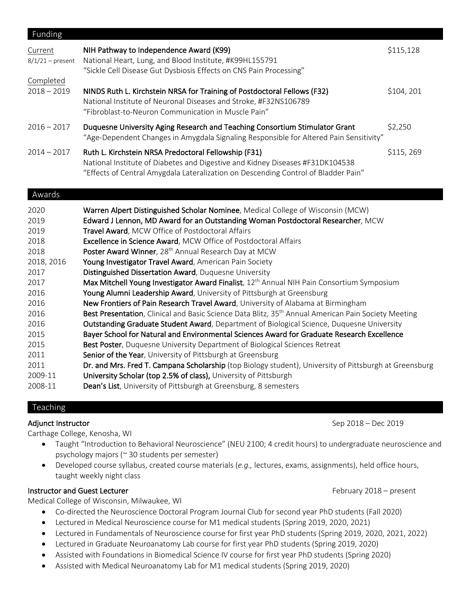| Funding                       |                                                                                                                                                                                                                             |            |
|-------------------------------|-----------------------------------------------------------------------------------------------------------------------------------------------------------------------------------------------------------------------------|------------|
| Current<br>$8/1/21$ – present | NIH Pathway to Independence Award (K99)<br>National Heart, Lung, and Blood Institute, #K99HL155791<br>"Sickle Cell Disease Gut Dysbiosis Effects on CNS Pain Processing"                                                    | \$115,128  |
| Completed                     |                                                                                                                                                                                                                             |            |
| $2018 - 2019$                 | NINDS Ruth L. Kirchstein NRSA for Training of Postdoctoral Fellows (F32)<br>National Institute of Neuronal Diseases and Stroke, #F32NS106789<br>"Fibroblast-to-Neuron Communication in Muscle Pain"                         | \$104, 201 |
| $2016 - 2017$                 | Duquesne University Aging Research and Teaching Consortium Stimulator Grant<br>"Age-Dependent Changes in Amygdala Signaling Responsible for Altered Pain Sensitivity"                                                       | \$2,250    |
| $2014 - 2017$                 | Ruth L. Kirchstein NRSA Predoctoral Fellowship (F31)<br>National Institute of Diabetes and Digestive and Kidney Diseases #F31DK104538<br>"Effects of Central Amygdala Lateralization on Descending Control of Bladder Pain" | \$115, 269 |
| Awards                        |                                                                                                                                                                                                                             |            |
| 2020                          | Warren Alpert Distinguished Scholar Nominee, Medical College of Wisconsin (MCW)                                                                                                                                             |            |
| 2019                          | Edward J Lennon, MD Award for an Outstanding Woman Postdoctoral Researcher, MCW                                                                                                                                             |            |
| 2019                          | Travel Award, MCW Office of Postdoctoral Affairs                                                                                                                                                                            |            |
| 2018                          | Excellence in Science Award, MCW Office of Postdoctoral Affairs                                                                                                                                                             |            |
| 2018                          | Poster Award Winner, 28 <sup>th</sup> Annual Research Day at MCW                                                                                                                                                            |            |
| 2018, 2016                    | Young Investigator Travel Award, American Pain Society                                                                                                                                                                      |            |
| 2017                          | Distinguished Dissertation Award, Duquesne University                                                                                                                                                                       |            |
| 2017                          | Max Mitchell Young Investigator Award Finalist, 12 <sup>th</sup> Annual NIH Pain Consortium Symposium                                                                                                                       |            |
| 2016                          | Young Alumni Leadership Award, University of Pittsburgh at Greensburg                                                                                                                                                       |            |

### Teaching

Carthage College, Kenosha, WI

- Taught "Introduction to Behavioral Neuroscience" (NEU 2100; 4 credit hours) to undergraduate neuroscience and psychology majors (~ 30 students per semester)
- Developed course syllabus, created course materials (*e.g.,* lectures, exams, assignments), held office hours, taught weekly night class

### Instructor and Guest Lecturer **February 2018** – present

Medical College of Wisconsin, Milwaukee, WI

- Co-directed the Neuroscience Doctoral Program Journal Club for second year PhD students (Fall 2020)
- Lectured in Medical Neuroscience course for M1 medical students (Spring 2019, 2020, 2021)

2016 **New Frontiers of Pain Research Travel Award**, University of Alabama at Birmingham

2015 **Best Poster, Duquesne University Department of Biological Sciences Retreat** 

2011 Senior of the Year, University of Pittsburgh at Greensburg

2009-11 University Scholar (top 2.5% of class), University of Pittsburgh 2008-11 **Dean's List**, University of Pittsburgh at Greensburg, 8 semesters

2016 **Best Presentation**, Clinical and Basic Science Data Blitz, 35<sup>th</sup> Annual American Pain Society Meeting 2016 **Outstanding Graduate Student Award**, Department of Biological Science, Duquesne University 2015 Bayer School for Natural and Environmental Sciences Award for Graduate Research Excellence

2011 **Dr. and Mrs. Fred T. Campana Scholarship** (top Biology student), University of Pittsburgh at Greensburg

- Lectured in Fundamentals of Neuroscience course for first year PhD students (Spring 2019, 2020, 2021, 2022)
- Lectured in Graduate Neuroanatomy Lab course for first year PhD students (Spring 2019, 2020)
- Assisted with Foundations in Biomedical Science IV course for first year PhD students (Spring 2020)
- Assisted with Medical Neuroanatomy Lab for M1 medical students (Spring 2019, 2020)

Adjunct Instructor **Sep 2018** – Dec 2019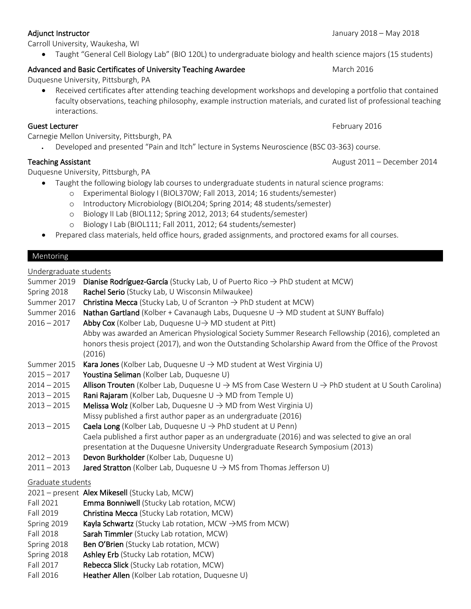Carroll University, Waukesha, WI

• Taught "General Cell Biology Lab" (BIO 120L) to undergraduate biology and health science majors (15 students)

## Advanced and Basic Certificates of University Teaching Awardee March 2016 March 2016

Duquesne University, Pittsburgh, PA

• Received certificates after attending teaching development workshops and developing a portfolio that contained faculty observations, teaching philosophy, example instruction materials, and curated list of professional teaching interactions.

### Guest Lecturer February 2016

Carnegie Mellon University, Pittsburgh, PA

• Developed and presented "Pain and Itch" lecture in Systems Neuroscience (BSC 03-363) course.

Duquesne University, Pittsburgh, PA

- Taught the following biology lab courses to undergraduate students in natural science programs:
	- o Experimental Biology I (BIOL370W; Fall 2013, 2014; 16 students/semester)
	- o Introductory Microbiology (BIOL204; Spring 2014; 48 students/semester)
	- o Biology II Lab (BIOL112; Spring 2012, 2013; 64 students/semester)
	- o Biology I Lab (BIOL111; Fall 2011, 2012; 64 students/semester)
- Prepared class materials, held office hours, graded assignments, and proctored exams for all courses.

### Mentoring

Undergraduate students

| Summer 2019       | Dianise Rodríguez-García (Stucky Lab, U of Puerto Rico $\rightarrow$ PhD student at MCW)                                          |  |  |  |
|-------------------|-----------------------------------------------------------------------------------------------------------------------------------|--|--|--|
| Spring 2018       | Rachel Serio (Stucky Lab, U Wisconsin Milwaukee)                                                                                  |  |  |  |
| Summer 2017       | Christina Mecca (Stucky Lab, U of Scranton $\rightarrow$ PhD student at MCW)                                                      |  |  |  |
| Summer 2016       | Nathan Gartland (Kolber + Cavanaugh Labs, Duquesne $U \rightarrow MD$ student at SUNY Buffalo)                                    |  |  |  |
| $2016 - 2017$     | Abby Cox (Kolber Lab, Duquesne U-> MD student at Pitt)                                                                            |  |  |  |
|                   | Abby was awarded an American Physiological Society Summer Research Fellowship (2016), completed an                                |  |  |  |
|                   | honors thesis project (2017), and won the Outstanding Scholarship Award from the Office of the Provost                            |  |  |  |
|                   | (2016)                                                                                                                            |  |  |  |
| Summer 2015       | <b>Kara Jones</b> (Kolber Lab, Duquesne $U \rightarrow MD$ student at West Virginia U)                                            |  |  |  |
| $2015 - 2017$     | Youstina Seliman (Kolber Lab, Duquesne U)                                                                                         |  |  |  |
| $2014 - 2015$     | Allison Trouten (Kolber Lab, Duquesne $\cup \rightarrow MS$ from Case Western $\cup \rightarrow PhD$ student at U South Carolina) |  |  |  |
| $2013 - 2015$     | <b>Rani Rajaram</b> (Kolber Lab, Duquesne $U \rightarrow MD$ from Temple U)                                                       |  |  |  |
| $2013 - 2015$     | <b>Melissa Wolz</b> (Kolber Lab, Duquesne $U \rightarrow MD$ from West Virginia U)                                                |  |  |  |
|                   | Missy published a first author paper as an undergraduate (2016)                                                                   |  |  |  |
| $2013 - 2015$     | <b>Caela Long</b> (Kolber Lab, Duquesne $U \rightarrow PhD$ student at U Penn)                                                    |  |  |  |
|                   | Caela published a first author paper as an undergraduate (2016) and was selected to give an oral                                  |  |  |  |
|                   | presentation at the Duquesne University Undergraduate Research Symposium (2013)                                                   |  |  |  |
| $2012 - 2013$     | Devon Burkholder (Kolber Lab, Duquesne U)                                                                                         |  |  |  |
| $2011 - 2013$     | <b>Jared Stratton</b> (Kolber Lab, Duquesne $U \rightarrow MS$ from Thomas Jefferson U)                                           |  |  |  |
| Graduate students |                                                                                                                                   |  |  |  |
|                   | 2021 – present Alex Mikesell (Stucky Lab, MCW)                                                                                    |  |  |  |
| Fall 2021         | Emma Bonniwell (Stucky Lab rotation, MCW)                                                                                         |  |  |  |
| Fall 2019         | Christina Mecca (Stucky Lab rotation, MCW)                                                                                        |  |  |  |
| Spring 2019       | Kayla Schwartz (Stucky Lab rotation, MCW $\rightarrow$ MS from MCW)                                                               |  |  |  |
| <b>Fall 2018</b>  | Sarah Timmler (Stucky Lab rotation, MCW)                                                                                          |  |  |  |
| Spring 2018       | Ben O'Brien (Stucky Lab rotation, MCW)                                                                                            |  |  |  |
| Spring 2018       | Ashley Erb (Stucky Lab rotation, MCW)                                                                                             |  |  |  |
| Fall 2017         | Rebecca Slick (Stucky Lab rotation, MCW)                                                                                          |  |  |  |
| Fall 2016         | Heather Allen (Kolber Lab rotation, Duquesne U)                                                                                   |  |  |  |
|                   |                                                                                                                                   |  |  |  |

Teaching Assistant **August 2011** – December 2014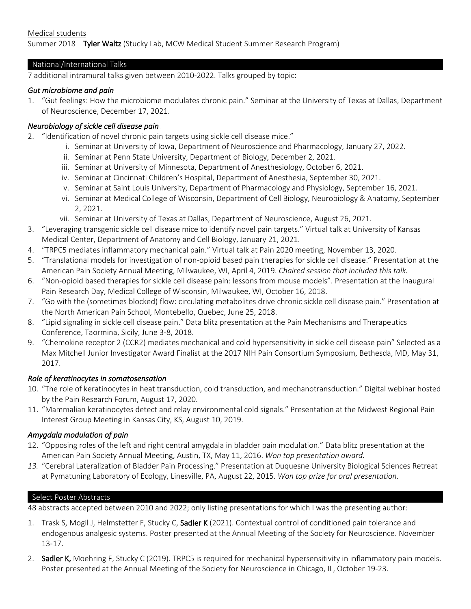Summer 2018 Tyler Waltz (Stucky Lab, MCW Medical Student Summer Research Program)

### National/International Talks

7 additional intramural talks given between 2010-2022. Talks grouped by topic:

### *Gut microbiome and pain*

1. "Gut feelings: How the microbiome modulates chronic pain." Seminar at the University of Texas at Dallas, Department of Neuroscience, December 17, 2021.

### *Neurobiology of sickle cell disease pain*

- 2. "Identification of novel chronic pain targets using sickle cell disease mice."
	- i. Seminar at University of Iowa, Department of Neuroscience and Pharmacology, January 27, 2022.
	- ii. Seminar at Penn State University, Department of Biology, December 2, 2021.
	- iii. Seminar at University of Minnesota, Department of Anesthesiology, October 6, 2021.
	- iv. Seminar at Cincinnati Children's Hospital, Department of Anesthesia, September 30, 2021.
	- v. Seminar at Saint Louis University, Department of Pharmacology and Physiology, September 16, 2021.
	- vi. Seminar at Medical College of Wisconsin, Department of Cell Biology, Neurobiology & Anatomy, September 2, 2021.
	- vii. Seminar at University of Texas at Dallas, Department of Neuroscience, August 26, 2021.
- 3. "Leveraging transgenic sickle cell disease mice to identify novel pain targets." Virtual talk at University of Kansas Medical Center, Department of Anatomy and Cell Biology, January 21, 2021.
- 4. "TRPC5 mediates inflammatory mechanical pain." Virtual talk at Pain 2020 meeting, November 13, 2020.
- 5. "Translational models for investigation of non-opioid based pain therapies for sickle cell disease." Presentation at the American Pain Society Annual Meeting, Milwaukee, WI, April 4, 2019. *Chaired session that included this talk.*
- 6. "Non-opioid based therapies for sickle cell disease pain: lessons from mouse models". Presentation at the Inaugural Pain Research Day, Medical College of Wisconsin, Milwaukee, WI, October 16, 2018.
- 7. "Go with the (sometimes blocked) flow: circulating metabolites drive chronic sickle cell disease pain." Presentation at the North American Pain School, Montebello, Quebec, June 25, 2018.
- 8. "Lipid signaling in sickle cell disease pain." Data blitz presentation at the Pain Mechanisms and Therapeutics Conference, Taormina, Sicily, June 3-8, 2018.
- 9. "Chemokine receptor 2 (CCR2) mediates mechanical and cold hypersensitivity in sickle cell disease pain" Selected as a Max Mitchell Junior Investigator Award Finalist at the 2017 NIH Pain Consortium Symposium, Bethesda, MD, May 31, 2017.

### *Role of keratinocytes in somatosensation*

- 10. "The role of keratinocytes in heat transduction, cold transduction, and mechanotransduction." Digital webinar hosted by the Pain Research Forum, August 17, 2020.
- 11. "Mammalian keratinocytes detect and relay environmental cold signals." Presentation at the Midwest Regional Pain Interest Group Meeting in Kansas City, KS, August 10, 2019.

### *Amygdala modulation of pain*

- 12. "Opposing roles of the left and right central amygdala in bladder pain modulation." Data blitz presentation at the American Pain Society Annual Meeting, Austin, TX, May 11, 2016. *Won top presentation award.*
- *13.* "Cerebral Lateralization of Bladder Pain Processing." Presentation at Duquesne University Biological Sciences Retreat at Pymatuning Laboratory of Ecology, Linesville, PA, August 22, 2015. *Won top prize for oral presentation.*

### Select Poster Abstracts

48 abstracts accepted between 2010 and 2022; only listing presentations for which I was the presenting author:

- 1. Trask S, Mogil J, Helmstetter F, Stucky C, Sadler K (2021). Contextual control of conditioned pain tolerance and endogenous analgesic systems. Poster presented at the Annual Meeting of the Society for Neuroscience. November 13-17.
- 2. Sadler K, Moehring F, Stucky C (2019). TRPC5 is required for mechanical hypersensitivity in inflammatory pain models. Poster presented at the Annual Meeting of the Society for Neuroscience in Chicago, IL, October 19-23.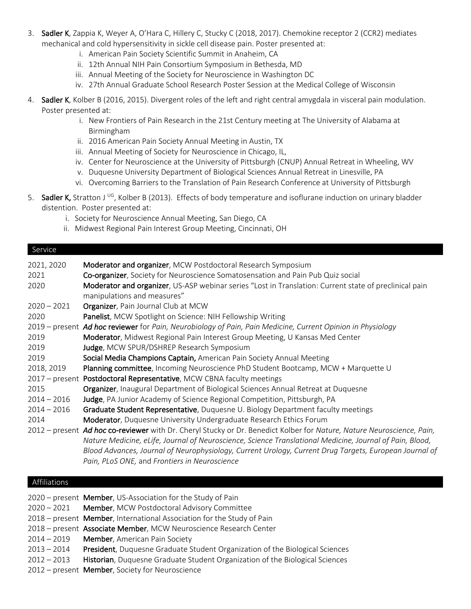- 3. Sadler K, Zappia K, Weyer A, O'Hara C, Hillery C, Stucky C (2018, 2017). Chemokine receptor 2 (CCR2) mediates mechanical and cold hypersensitivity in sickle cell disease pain. Poster presented at:
	- i. American Pain Society Scientific Summit in Anaheim, CA
	- ii. 12th Annual NIH Pain Consortium Symposium in Bethesda, MD
	- iii. Annual Meeting of the Society for Neuroscience in Washington DC
	- iv. 27th Annual Graduate School Research Poster Session at the Medical College of Wisconsin
- 4. Sadler K, Kolber B (2016, 2015). Divergent roles of the left and right central amygdala in visceral pain modulation. Poster presented at:
	- i. New Frontiers of Pain Research in the 21st Century meeting at The University of Alabama at Birmingham
	- ii. 2016 American Pain Society Annual Meeting in Austin, TX
	- iii. Annual Meeting of Society for Neuroscience in Chicago, IL,
	- iv. Center for Neuroscience at the University of Pittsburgh (CNUP) Annual Retreat in Wheeling, WV
	- v. Duquesne University Department of Biological Sciences Annual Retreat in Linesville, PA
	- vi. Overcoming Barriers to the Translation of Pain Research Conference at University of Pittsburgh
- 5. Sadler K, Stratton J<sup>UG</sup>, Kolber B (2013). Effects of body temperature and isoflurane induction on urinary bladder distention. Poster presented at:
	- i. Society for Neuroscience Annual Meeting, San Diego, CA
	- ii. Midwest Regional Pain Interest Group Meeting, Cincinnati, OH

### Service

| 2021, 2020    | Moderator and organizer, MCW Postdoctoral Research Symposium                                                           |
|---------------|------------------------------------------------------------------------------------------------------------------------|
| 2021          | Co-organizer, Society for Neuroscience Somatosensation and Pain Pub Quiz social                                        |
| 2020          | Moderator and organizer, US-ASP webinar series "Lost in Translation: Current state of preclinical pain                 |
|               | manipulations and measures"                                                                                            |
| $2020 - 2021$ | Organizer, Pain Journal Club at MCW                                                                                    |
| 2020          | Panelist, MCW Spotlight on Science: NIH Fellowship Writing                                                             |
|               | 2019 – present Ad hoc reviewer for Pain, Neurobiology of Pain, Pain Medicine, Current Opinion in Physiology            |
| 2019          | Moderator, Midwest Regional Pain Interest Group Meeting, U Kansas Med Center                                           |
| 2019          | Judge, MCW SPUR/DSHREP Research Symposium                                                                              |
| 2019          | Social Media Champions Captain, American Pain Society Annual Meeting                                                   |
| 2018, 2019    | Planning committee, Incoming Neuroscience PhD Student Bootcamp, MCW + Marquette U                                      |
|               | 2017 – present Postdoctoral Representative, MCW CBNA faculty meetings                                                  |
| 2015          | Organizer, Inaugural Department of Biological Sciences Annual Retreat at Duquesne                                      |
| $2014 - 2016$ | Judge, PA Junior Academy of Science Regional Competition, Pittsburgh, PA                                               |
| $2014 - 2016$ | Graduate Student Representative, Duquesne U. Biology Department faculty meetings                                       |
| 2014          | Moderator, Duquesne University Undergraduate Research Ethics Forum                                                     |
|               | 2012 – present Ad hoc co-reviewer with Dr. Cheryl Stucky or Dr. Benedict Kolber for Nature, Nature Neuroscience, Pain, |
|               | Nature Medicine, eLife, Journal of Neuroscience, Science Translational Medicine, Journal of Pain, Blood,               |
|               | Blood Advances, Journal of Neurophysiology, Current Urology, Current Drug Targets, European Journal of                 |
|               | Pain, PLoS ONE, and Frontiers in Neuroscience                                                                          |
|               |                                                                                                                        |

### Affiliations

|               | 2020 – present Member, US-Association for the Study of Pain                  |
|---------------|------------------------------------------------------------------------------|
|               | 2020 - 2021 Member, MCW Postdoctoral Advisory Committee                      |
|               | 2018 – present Member, International Association for the Study of Pain       |
|               | 2018 – present Associate Member, MCW Neuroscience Research Center            |
| 2014 – 2019   | <b>Member, American Pain Society</b>                                         |
| $2013 - 2014$ | President, Duquesne Graduate Student Organization of the Biological Sciences |
| 2012-2013     | Historian, Duquesne Graduate Student Organization of the Biological Sciences |
|               |                                                                              |

2012 – present Member, Society for Neuroscience